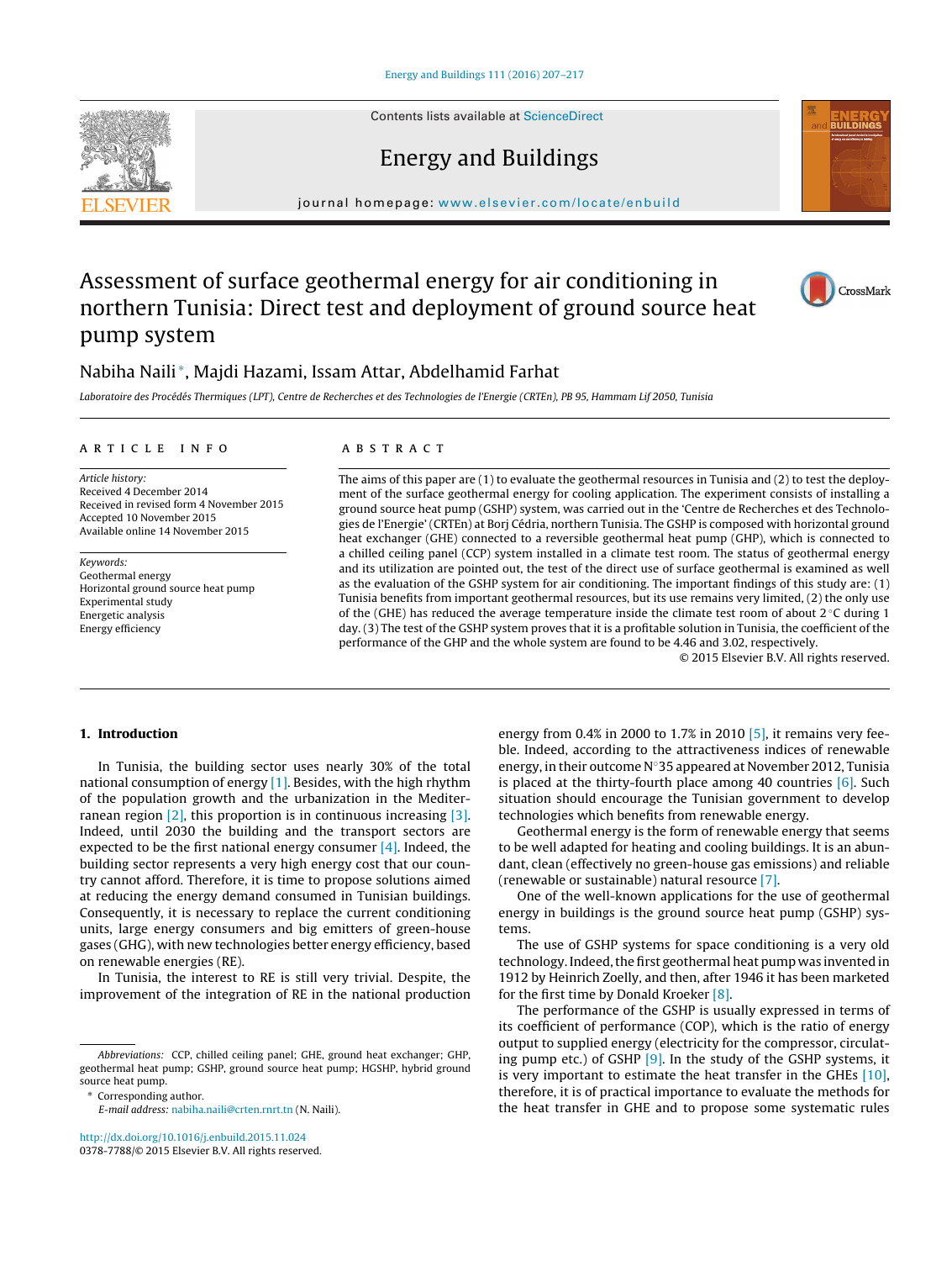Contents lists available at [ScienceDirect](http://www.sciencedirect.com/science/journal/03787788)

# Energy and Buildings

iournal homepage: [www.elsevier.com/locate/enbuild](http://www.elsevier.com/locate/enbuild)

## Assessment of surface geothermal energy for air conditioning in northern Tunisia: Direct test and deployment of ground source heat pump system

### Nabiha Naili <sup>∗</sup>, Majdi Hazami, Issam Attar, Abdelhamid Farhat

Laboratoire des Procédés Thermiques (LPT), Centre de Recherches et des Technologies de l'Energie (CRTEn), PB 95, Hammam Lif 2050, Tunisia

#### a r t i c l e i n f o

Article history: Received 4 December 2014 Received in revised form 4 November 2015 Accepted 10 November 2015 Available online 14 November 2015

Keywords: Geothermal energy Horizontal ground source heat pump Experimental study Energetic analysis Energy efficiency

#### A B S T R A C T

The aims of this paper are (1) to evaluate the geothermal resources in Tunisia and (2) to test the deployment of the surface geothermal energy for cooling application. The experiment consists of installing a ground source heat pump (GSHP) system, was carried out in the 'Centre de Recherches et des Technologies de l'Energie' (CRTEn) at Borj Cédria, northern Tunisia. The GSHP is composed with horizontal ground heat exchanger (GHE) connected to a reversible geothermal heat pump (GHP), which is connected to a chilled ceiling panel (CCP) system installed in a climate test room. The status of geothermal energy and its utilization are pointed out, the test of the direct use of surface geothermal is examined as well as the evaluation of the GSHP system for air conditioning. The important findings of this study are: (1) Tunisia benefits from important geothermal resources, but its use remains very limited, (2) the only use of the (GHE) has reduced the average temperature inside the climate test room of about  $2 \degree C$  during 1 day. (3) The test of the GSHP system proves that it is a profitable solution in Tunisia, the coefficient of the performance of the GHP and the whole system are found to be 4.46 and 3.02, respectively.

© 2015 Elsevier B.V. All rights reserved.

#### **1. Introduction**

In Tunisia, the building sector uses nearly 30% of the total national consumption of energy [\[1\].](#page--1-0) Besides, with the high rhythm of the population growth and the urbanization in the Mediterranean region [\[2\],](#page--1-0) this proportion is in continuous increasing [\[3\].](#page--1-0) Indeed, until 2030 the building and the transport sectors are expected to be the first national energy consumer [\[4\].](#page--1-0) Indeed, the building sector represents a very high energy cost that our country cannot afford. Therefore, it is time to propose solutions aimed at reducing the energy demand consumed in Tunisian buildings. Consequently, it is necessary to replace the current conditioning units, large energy consumers and big emitters of green-house gases (GHG), with new technologies better energy efficiency, based on renewable energies (RE).

In Tunisia, the interest to RE is still very trivial. Despite, the improvement of the integration of RE in the national production

Abbreviations: CCP, chilled ceiling panel; GHE, ground heat exchanger; GHP, geothermal heat pump; GSHP, ground source heat pump; HGSHP, hybrid ground source heat pump.

[http://dx.doi.org/10.1016/j.enbuild.2015.11.024](dx.doi.org/10.1016/j.enbuild.2015.11.024) 0378-7788/© 2015 Elsevier B.V. All rights reserved. energy from 0.4% in 2000 to 1.7% in 2010 [\[5\],](#page--1-0) it remains very feeble. Indeed, according to the attractiveness indices of renewable energy, in their outcome N◦35 appeared at November 2012, Tunisia is placed at the thirty-fourth place among 40 countries  $[6]$ . Such situation should encourage the Tunisian government to develop technologies which benefits from renewable energy.

Geothermal energy is the form of renewable energy that seems to be well adapted for heating and cooling buildings. It is an abundant, clean (effectively no green-house gas emissions) and reliable (renewable or sustainable) natural resource [\[7\].](#page--1-0)

One of the well-known applications for the use of geothermal energy in buildings is the ground source heat pump (GSHP) systems.

The use of GSHP systems for space conditioning is a very old technology. Indeed, the first geothermal heat pump was invented in 1912 by Heinrich Zoelly, and then, after 1946 it has been marketed for the first time by Donald Kroeker [\[8\].](#page--1-0)

The performance of the GSHP is usually expressed in terms of its coefficient of performance (COP), which is the ratio of energy output to supplied energy (electricity for the compressor, circulating pump etc.) of GSHP [\[9\].](#page--1-0) In the study of the GSHP systems, it is very important to estimate the heat transfer in the GHEs [\[10\],](#page--1-0) therefore, it is of practical importance to evaluate the methods for the heat transfer in GHE and to propose some systematic rules







<sup>∗</sup> Corresponding author.

E-mail address: [nabiha.naili@crten.rnrt.tn](mailto:nabiha.naili@crten.rnrt.tn) (N. Naili).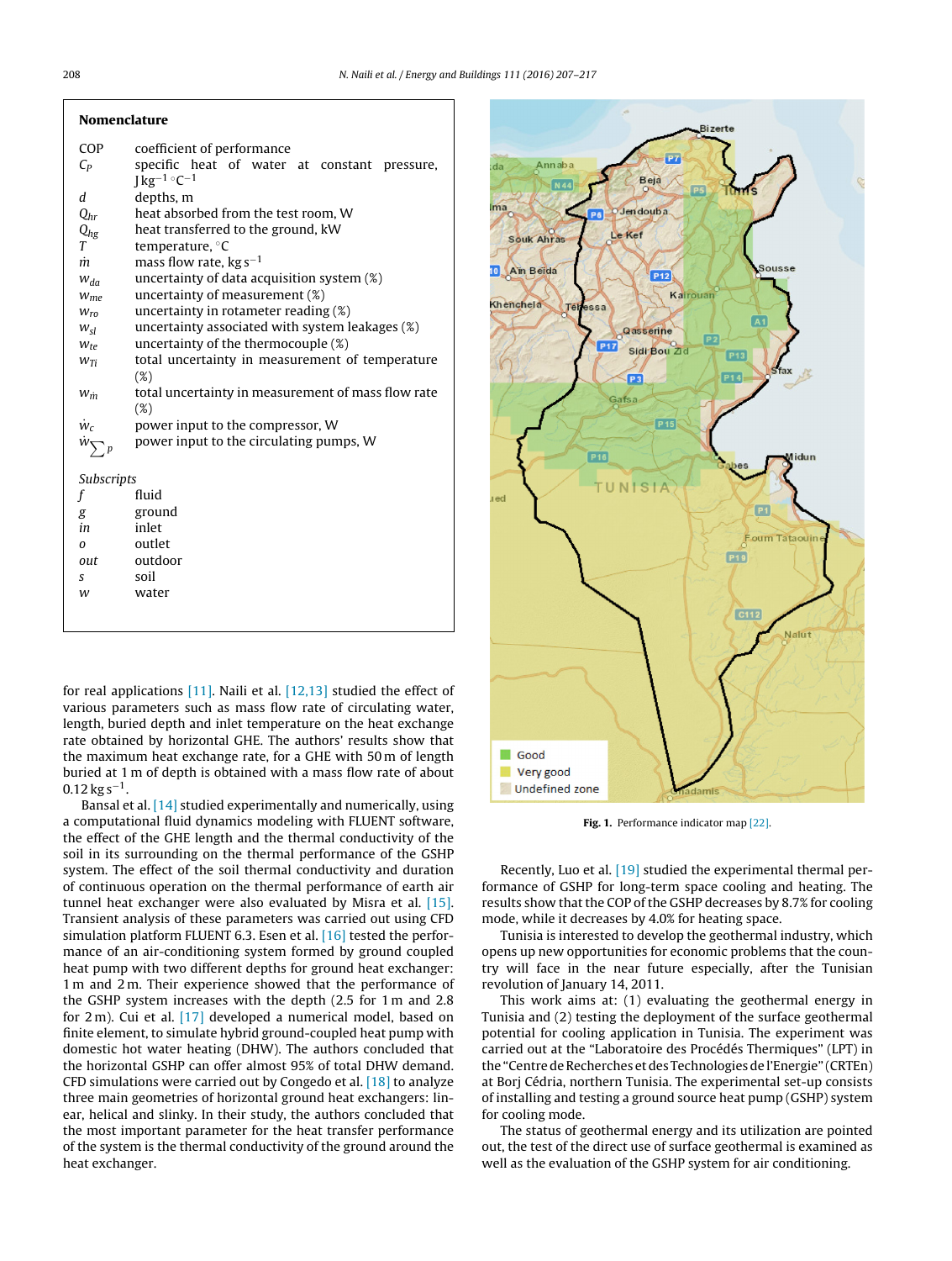| Nomenclature |
|--------------|
|--------------|

| <b>COP</b>    | coefficient of performance                         |  |
|---------------|----------------------------------------------------|--|
| $C_P$         | specific heat of water at constant pressure,       |  |
|               | $J kg^{-1}$ °C <sup>-1</sup>                       |  |
| d             | depths, m                                          |  |
| $Q_{hr}$      | heat absorbed from the test room, W                |  |
| $Q_{hg}$      | heat transferred to the ground, kW                 |  |
| T             | temperature, °C                                    |  |
| m             | mass flow rate, $kg s^{-1}$                        |  |
| $W_{da}$      | uncertainty of data acquisition system (%)         |  |
| $W_{me}$      | uncertainty of measurement (%)                     |  |
| $W_{ro}$      | uncertainty in rotameter reading (%)               |  |
| $W_{\leq l}$  | uncertainty associated with system leakages (%)    |  |
| $W_{te}$      | uncertainty of the thermocouple $(\%)$             |  |
| $W_{Ti}$      | total uncertainty in measurement of temperature    |  |
|               | (%)                                                |  |
| $W_{\dot{m}}$ | total uncertainty in measurement of mass flow rate |  |
|               | $(\%)$                                             |  |
| $\dot{w}_c$   | power input to the compressor, W                   |  |
| $W_{\sum}$    | power input to the circulating pumps, W            |  |
|               |                                                    |  |
| Subscripts    |                                                    |  |
| f             | fluid                                              |  |
| g             | ground                                             |  |
| in            | inlet                                              |  |
| $\Omega$      | outlet                                             |  |
| out           | outdoor                                            |  |
| S             | soil                                               |  |
| w             | water                                              |  |
|               |                                                    |  |
|               |                                                    |  |

for real applications  $[11]$ . Naili et al.  $[12,13]$  studied the effect of various parameters such as mass flow rate of circulating water, length, buried depth and inlet temperature on the heat exchange rate obtained by horizontal GHE. The authors' results show that the maximum heat exchange rate, for a GHE with 50 m of length buried at 1 m of depth is obtained with a mass flow rate of about  $0.12$  kg s<sup>-1</sup>.

Bansal et al. [\[14\]](#page--1-0) studied experimentally and numerically, using a computational fluid dynamics modeling with FLUENT software, the effect of the GHE length and the thermal conductivity of the soil in its surrounding on the thermal performance of the GSHP system. The effect of the soil thermal conductivity and duration of continuous operation on the thermal performance of earth air tunnel heat exchanger were also evaluated by Misra et al. [\[15\].](#page--1-0) Transient analysis of these parameters was carried out using CFD simulation platform FLUENT 6.3. Esen et al. [\[16\]](#page--1-0) tested the performance of an air-conditioning system formed by ground coupled heat pump with two different depths for ground heat exchanger: 1 m and 2 m. Their experience showed that the performance of the GSHP system increases with the depth (2.5 for 1 m and 2.8 for 2 m). Cui et al. [\[17\]](#page--1-0) developed a numerical model, based on finite element, to simulate hybrid ground-coupled heat pump with domestic hot water heating (DHW). The authors concluded that the horizontal GSHP can offer almost 95% of total DHW demand. CFD simulations were carried out by Congedo et al. [\[18\]](#page--1-0) to analyze three main geometries of horizontal ground heat exchangers: linear, helical and slinky. In their study, the authors concluded that the most important parameter for the heat transfer performance of the system is the thermal conductivity of the ground around the heat exchanger.



**Fig. 1.** Performance indicator map [\[22\].](#page--1-0)

Recently, Luo et al. [\[19\]](#page--1-0) studied the experimental thermal performance of GSHP for long-term space cooling and heating. The results show that the COP of the GSHP decreases by 8.7% for cooling mode, while it decreases by 4.0% for heating space.

Tunisia is interested to develop the geothermal industry, which opens up new opportunities for economic problems that the country will face in the near future especially, after the Tunisian revolution of January 14, 2011.

This work aims at: (1) evaluating the geothermal energy in Tunisia and (2) testing the deployment of the surface geothermal potential for cooling application in Tunisia. The experiment was carried out at the "Laboratoire des Procédés Thermiques" (LPT) in the "Centre de Recherches et des Technologies de l'Energie" (CRTEn) at Borj Cédria, northern Tunisia. The experimental set-up consists of installing and testing a ground source heat pump (GSHP) system for cooling mode.

The status of geothermal energy and its utilization are pointed out, the test of the direct use of surface geothermal is examined as well as the evaluation of the GSHP system for air conditioning.